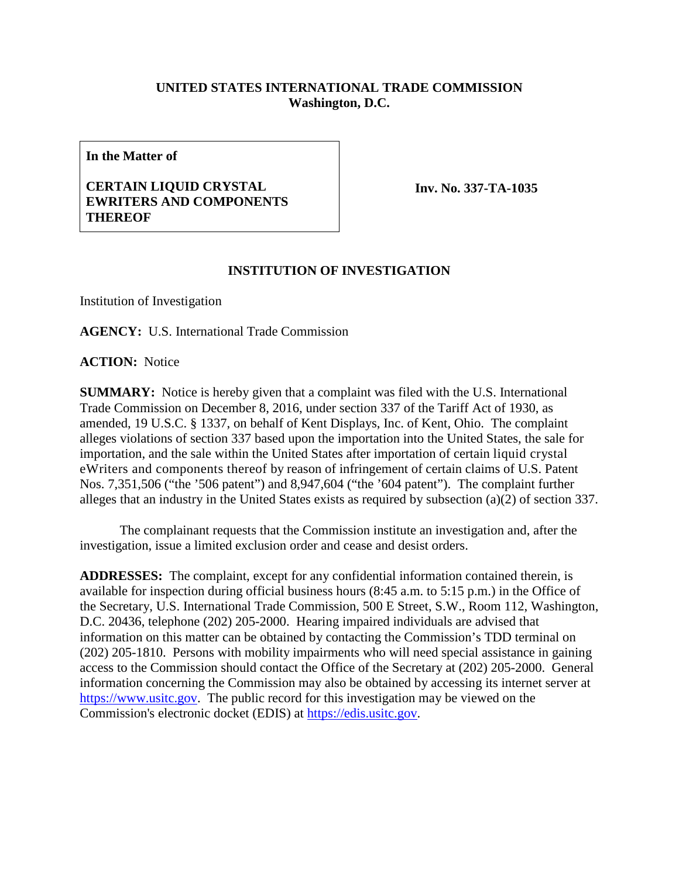## **UNITED STATES INTERNATIONAL TRADE COMMISSION Washington, D.C.**

**In the Matter of**

## **CERTAIN LIQUID CRYSTAL EWRITERS AND COMPONENTS THEREOF**

**Inv. No. 337-TA-1035**

## **INSTITUTION OF INVESTIGATION**

Institution of Investigation

**AGENCY:** U.S. International Trade Commission

**ACTION:** Notice

**SUMMARY:** Notice is hereby given that a complaint was filed with the U.S. International Trade Commission on December 8, 2016, under section 337 of the Tariff Act of 1930, as amended, 19 U.S.C. § 1337, on behalf of Kent Displays, Inc. of Kent, Ohio. The complaint alleges violations of section 337 based upon the importation into the United States, the sale for importation, and the sale within the United States after importation of certain liquid crystal eWriters and components thereof by reason of infringement of certain claims of U.S. Patent Nos. 7,351,506 ("the '506 patent") and 8,947,604 ("the '604 patent"). The complaint further alleges that an industry in the United States exists as required by subsection (a)(2) of section 337.

The complainant requests that the Commission institute an investigation and, after the investigation, issue a limited exclusion order and cease and desist orders.

**ADDRESSES:** The complaint, except for any confidential information contained therein, is available for inspection during official business hours (8:45 a.m. to 5:15 p.m.) in the Office of the Secretary, U.S. International Trade Commission, 500 E Street, S.W., Room 112, Washington, D.C. 20436, telephone (202) 205-2000. Hearing impaired individuals are advised that information on this matter can be obtained by contacting the Commission's TDD terminal on (202) 205-1810. Persons with mobility impairments who will need special assistance in gaining access to the Commission should contact the Office of the Secretary at (202) 205-2000. General information concerning the Commission may also be obtained by accessing its internet server at [https://www.usitc.gov.](https://www.usitc.gov/) The public record for this investigation may be viewed on the Commission's electronic docket (EDIS) at [https://edis.usitc.gov.](https://edis.usitc.gov/)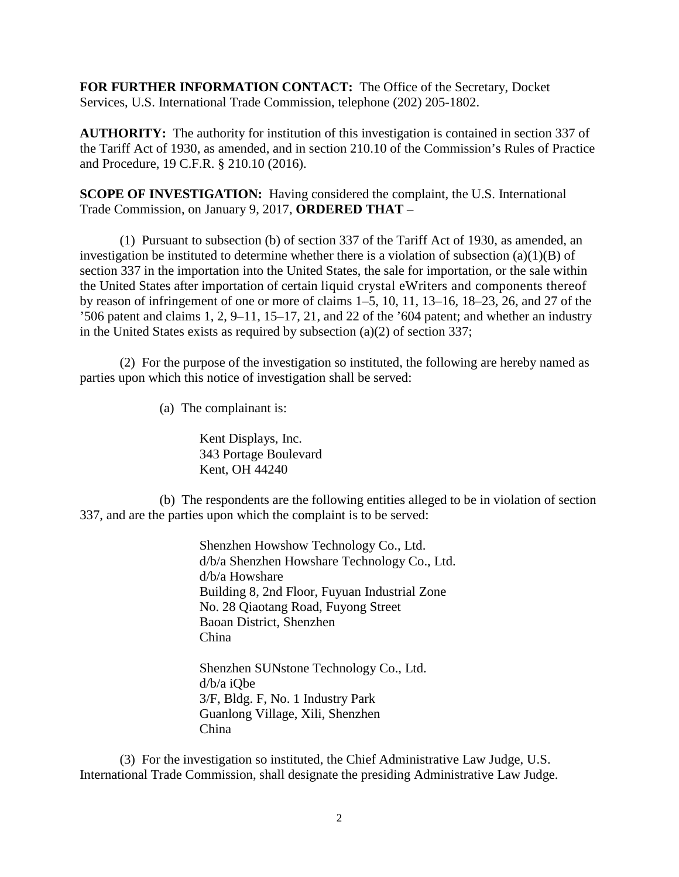**FOR FURTHER INFORMATION CONTACT:** The Office of the Secretary, Docket Services, U.S. International Trade Commission, telephone (202) 205-1802.

**AUTHORITY:** The authority for institution of this investigation is contained in section 337 of the Tariff Act of 1930, as amended, and in section 210.10 of the Commission's Rules of Practice and Procedure, 19 C.F.R. § 210.10 (2016).

**SCOPE OF INVESTIGATION:** Having considered the complaint, the U.S. International Trade Commission, on January 9, 2017, **ORDERED THAT** –

(1) Pursuant to subsection (b) of section 337 of the Tariff Act of 1930, as amended, an investigation be instituted to determine whether there is a violation of subsection  $(a)(1)(B)$  of section 337 in the importation into the United States, the sale for importation, or the sale within the United States after importation of certain liquid crystal eWriters and components thereof by reason of infringement of one or more of claims 1–5, 10, 11, 13–16, 18–23, 26, and 27 of the '506 patent and claims 1, 2, 9–11, 15–17, 21, and 22 of the '604 patent; and whether an industry in the United States exists as required by subsection (a)(2) of section 337;

(2) For the purpose of the investigation so instituted, the following are hereby named as parties upon which this notice of investigation shall be served:

(a) The complainant is:

Kent Displays, Inc. 343 Portage Boulevard Kent, OH 44240

(b) The respondents are the following entities alleged to be in violation of section 337, and are the parties upon which the complaint is to be served:

> Shenzhen Howshow Technology Co., Ltd. d/b/a Shenzhen Howshare Technology Co., Ltd. d/b/a Howshare Building 8, 2nd Floor, Fuyuan Industrial Zone No. 28 Qiaotang Road, Fuyong Street Baoan District, Shenzhen China

Shenzhen SUNstone Technology Co., Ltd. d/b/a iQbe 3/F, Bldg. F, No. 1 Industry Park Guanlong Village, Xili, Shenzhen China

(3) For the investigation so instituted, the Chief Administrative Law Judge, U.S. International Trade Commission, shall designate the presiding Administrative Law Judge.